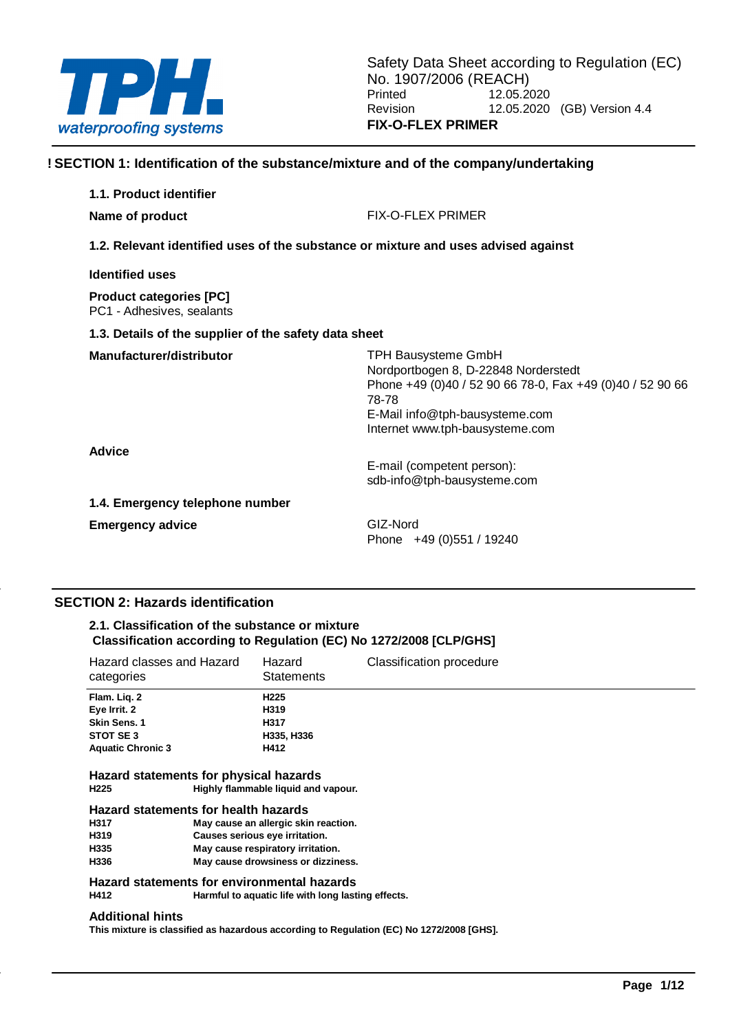

## **! SECTION 1: Identification of the substance/mixture and of the company/undertaking**

| 1.1. Product identifier                                                            |                                                                                                                                                                                                               |  |  |  |
|------------------------------------------------------------------------------------|---------------------------------------------------------------------------------------------------------------------------------------------------------------------------------------------------------------|--|--|--|
| Name of product                                                                    | FIX-O-FLEX PRIMER                                                                                                                                                                                             |  |  |  |
| 1.2. Relevant identified uses of the substance or mixture and uses advised against |                                                                                                                                                                                                               |  |  |  |
| <b>Identified uses</b>                                                             |                                                                                                                                                                                                               |  |  |  |
| <b>Product categories [PC]</b><br>PC1 - Adhesives, sealants                        |                                                                                                                                                                                                               |  |  |  |
| 1.3. Details of the supplier of the safety data sheet                              |                                                                                                                                                                                                               |  |  |  |
| Manufacturer/distributor                                                           | <b>TPH Bausysteme GmbH</b><br>Nordportbogen 8, D-22848 Norderstedt<br>Phone +49 (0)40 / 52 90 66 78-0, Fax +49 (0)40 / 52 90 66<br>78-78<br>E-Mail info@tph-bausysteme.com<br>Internet www.tph-bausysteme.com |  |  |  |
| <b>Advice</b>                                                                      | E-mail (competent person):<br>sdb-info@tph-bausysteme.com                                                                                                                                                     |  |  |  |
| 1.4. Emergency telephone number                                                    |                                                                                                                                                                                                               |  |  |  |
| <b>Emergency advice</b>                                                            | GIZ-Nord<br>Phone $+49(0)551/19240$                                                                                                                                                                           |  |  |  |

## **SECTION 2: Hazards identification**

## **2.1. Classification of the substance or mixture Classification according to Regulation (EC) No 1272/2008 [CLP/GHS]**

| Hazard classes and Hazard<br>categories | Hazard<br><b>Statements</b> | Classification procedure |
|-----------------------------------------|-----------------------------|--------------------------|
| Flam. Lig. 2                            | H <sub>225</sub>            |                          |
| Eye Irrit. 2                            | H319                        |                          |
| Skin Sens. 1                            | H317                        |                          |
| STOT SE3                                | H335, H336                  |                          |
| <b>Aquatic Chronic 3</b>                | H412                        |                          |
| Hazard statements for physical hazards  |                             |                          |

## **H225 Highly flammable liquid and vapour.**

#### **Hazard statements for health hazards**

| H317 | May cause an allergic skin reaction. |
|------|--------------------------------------|
| H319 | Causes serious eye irritation.       |
| H335 | May cause respiratory irritation.    |
| H336 | May cause drowsiness or dizziness.   |

# **Hazard statements for environmental hazards**

**Harmful to aquatic life with long lasting effects.** 

#### **Additional hints**

**This mixture is classified as hazardous according to Regulation (EC) No 1272/2008 [GHS].**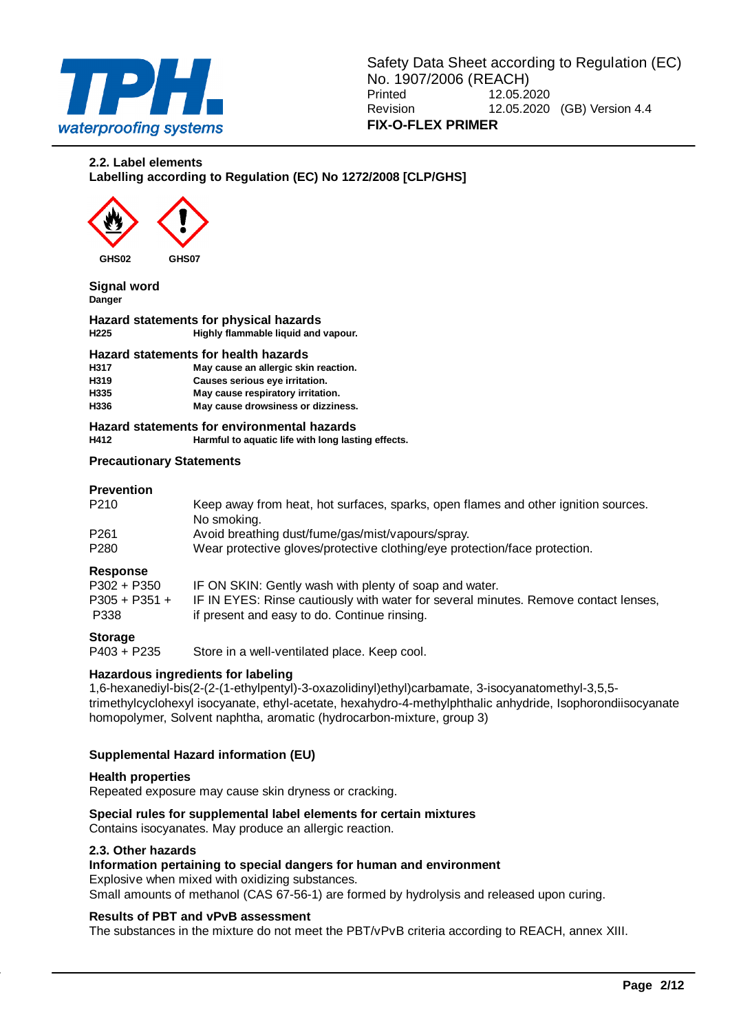

#### **2.2. Label elements**

**Labelling according to Regulation (EC) No 1272/2008 [CLP/GHS]**



**GHS02 GHS07**

**Signal word Danger**

**Hazard statements for physical hazards H225 Highly flammable liquid and vapour.**

#### **Hazard statements for health hazards**

| H317 | May cause an allergic skin reaction. |
|------|--------------------------------------|
| H319 | Causes serious eye irritation.       |
| H335 | May cause respiratory irritation.    |
| H336 | May cause drowsiness or dizziness.   |

#### **Hazard statements for environmental hazards H412 Harmful to aquatic life with long lasting effects.**

#### **Precautionary Statements**

#### **Prevention**

| P <sub>210</sub> | Keep away from heat, hot surfaces, sparks, open flames and other ignition sources.<br>No smoking. |
|------------------|---------------------------------------------------------------------------------------------------|
| P <sub>261</sub> | Avoid breathing dust/fume/gas/mist/vapours/spray.                                                 |
| P <sub>280</sub> | Wear protective gloves/protective clothing/eye protection/face protection.                        |

#### **Response**

| _______<br>$P302 + P350$ | IF ON SKIN: Gently wash with plenty of soap and water.                              |
|--------------------------|-------------------------------------------------------------------------------------|
| $P305 + P351 +$          | IF IN EYES: Rinse cautiously with water for several minutes. Remove contact lenses, |
| P338                     | if present and easy to do. Continue rinsing.                                        |

## **Storage**

P403 + P235 Store in a well-ventilated place. Keep cool.

#### **Hazardous ingredients for labeling**

1,6-hexanediyl-bis(2-(2-(1-ethylpentyl)-3-oxazolidinyl)ethyl)carbamate, 3-isocyanatomethyl-3,5,5 trimethylcyclohexyl isocyanate, ethyl-acetate, hexahydro-4-methylphthalic anhydride, Isophorondiisocyanate homopolymer, Solvent naphtha, aromatic (hydrocarbon-mixture, group 3)

#### **Supplemental Hazard information (EU)**

#### **Health properties**

Repeated exposure may cause skin dryness or cracking.

## **Special rules for supplemental label elements for certain mixtures**

Contains isocyanates. May produce an allergic reaction.

## **2.3. Other hazards**

## **Information pertaining to special dangers for human and environment**

Explosive when mixed with oxidizing substances.

Small amounts of methanol (CAS 67-56-1) are formed by hydrolysis and released upon curing.

#### **Results of PBT and vPvB assessment**

The substances in the mixture do not meet the PBT/vPvB criteria according to REACH, annex XIII.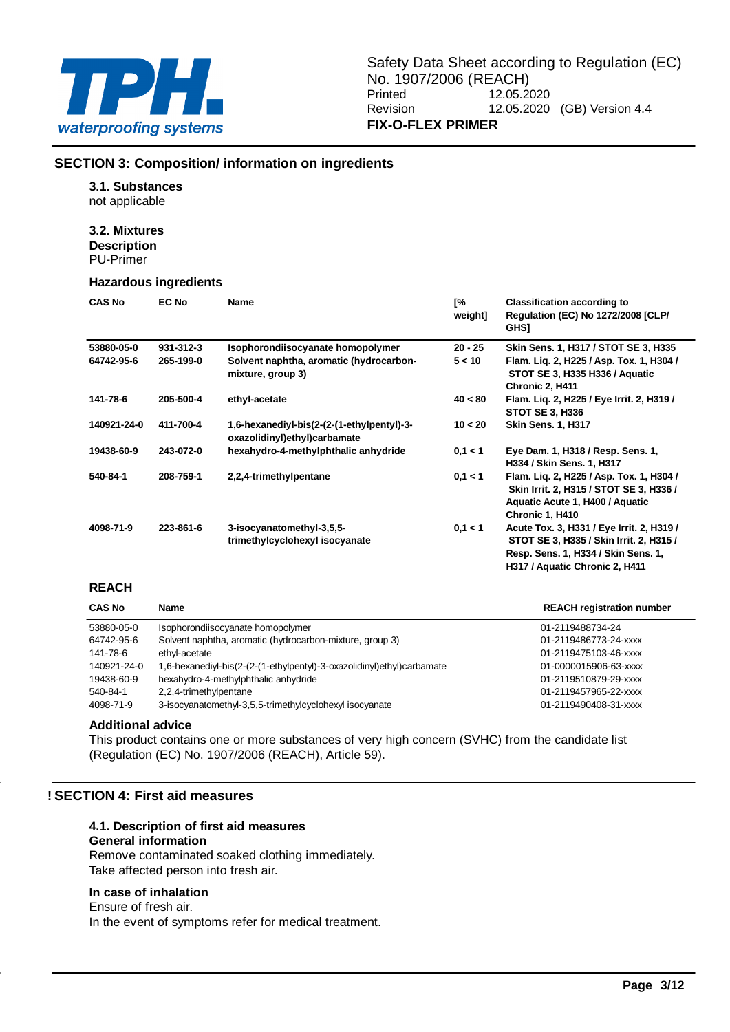

**H317 / Aquatic Chronic 2, H411**

## **SECTION 3: Composition/ information on ingredients**

## **3.1. Substances**

not applicable

#### **3.2. Mixtures**

**Description** PU-Primer

#### **Hazardous ingredients**

| <b>CAS No</b> | <b>EC No</b> | <b>Name</b>                                                                | Г%<br>weight] | <b>Classification according to</b><br><b>Regulation (EC) No 1272/2008 [CLP/</b><br><b>GHSI</b>                                            |
|---------------|--------------|----------------------------------------------------------------------------|---------------|-------------------------------------------------------------------------------------------------------------------------------------------|
| 53880-05-0    | 931-312-3    | Isophorondiisocyanate homopolymer                                          | $20 - 25$     | Skin Sens. 1, H317 / STOT SE 3, H335                                                                                                      |
| 64742-95-6    | 265-199-0    | Solvent naphtha, aromatic (hydrocarbon-<br>mixture, group 3)               | 5 < 10        | Flam. Lig. 2, H225 / Asp. Tox. 1, H304 /<br>STOT SE 3, H335 H336 / Aquatic<br>Chronic 2, H411                                             |
| 141-78-6      | 205-500-4    | ethyl-acetate                                                              | 40 < 80       | Flam. Lig. 2, H225 / Eye Irrit. 2, H319 /<br><b>STOT SE 3, H336</b>                                                                       |
| 140921-24-0   | 411-700-4    | 1,6-hexanediyl-bis(2-(2-(1-ethylpentyl)-3-<br>oxazolidinyl)ethyl)carbamate | 10 < 20       | <b>Skin Sens. 1, H317</b>                                                                                                                 |
| 19438-60-9    | 243-072-0    | hexahydro-4-methylphthalic anhydride                                       | 0.1 < 1       | Eye Dam. 1, H318 / Resp. Sens. 1,<br>H334 / Skin Sens. 1, H317                                                                            |
| 540-84-1      | 208-759-1    | 2,2,4-trimethylpentane                                                     | 0,1 < 1       | Flam. Liq. 2, H225 / Asp. Tox. 1, H304 /<br>Skin Irrit. 2, H315 / STOT SE 3, H336 /<br>Aquatic Acute 1, H400 / Aquatic<br>Chronic 1, H410 |
| 4098-71-9     | 223-861-6    | 3-isocyanatomethyl-3,5,5-<br>trimethylcyclohexyl isocyanate                | 0.1 < 1       | Acute Tox. 3, H331 / Eye Irrit. 2, H319 /<br>STOT SE 3, H335 / Skin Irrit. 2, H315 /<br>Resp. Sens. 1. H334 / Skin Sens. 1.               |

#### **REACH**

| <b>CAS No</b> | <b>Name</b>                                                            | <b>REACH registration number</b> |
|---------------|------------------------------------------------------------------------|----------------------------------|
| 53880-05-0    | Isophorondiisocyanate homopolymer                                      | 01-2119488734-24                 |
| 64742-95-6    | Solvent naphtha, aromatic (hydrocarbon-mixture, group 3)               | 01-2119486773-24-xxxx            |
| 141-78-6      | ethyl-acetate                                                          | 01-2119475103-46-xxxx            |
| 140921-24-0   | 1,6-hexanediyl-bis(2-(2-(1-ethylpentyl)-3-oxazolidinyl)ethyl)carbamate | 01-0000015906-63-xxxx            |
| 19438-60-9    | hexahydro-4-methylphthalic anhydride                                   | 01-2119510879-29-xxxx            |
| 540-84-1      | 2,2,4-trimethylpentane                                                 | 01-2119457965-22-xxxx            |
| 4098-71-9     | 3-isocyanatomethyl-3,5,5-trimethylcyclohexyl isocyanate                | 01-2119490408-31-xxxx            |

#### **Additional advice**

This product contains one or more substances of very high concern (SVHC) from the candidate list (Regulation (EC) No. 1907/2006 (REACH), Article 59).

## **! SECTION 4: First aid measures**

## **4.1. Description of first aid measures**

## **General information**

Remove contaminated soaked clothing immediately. Take affected person into fresh air.

## **In case of inhalation**

Ensure of fresh air. In the event of symptoms refer for medical treatment.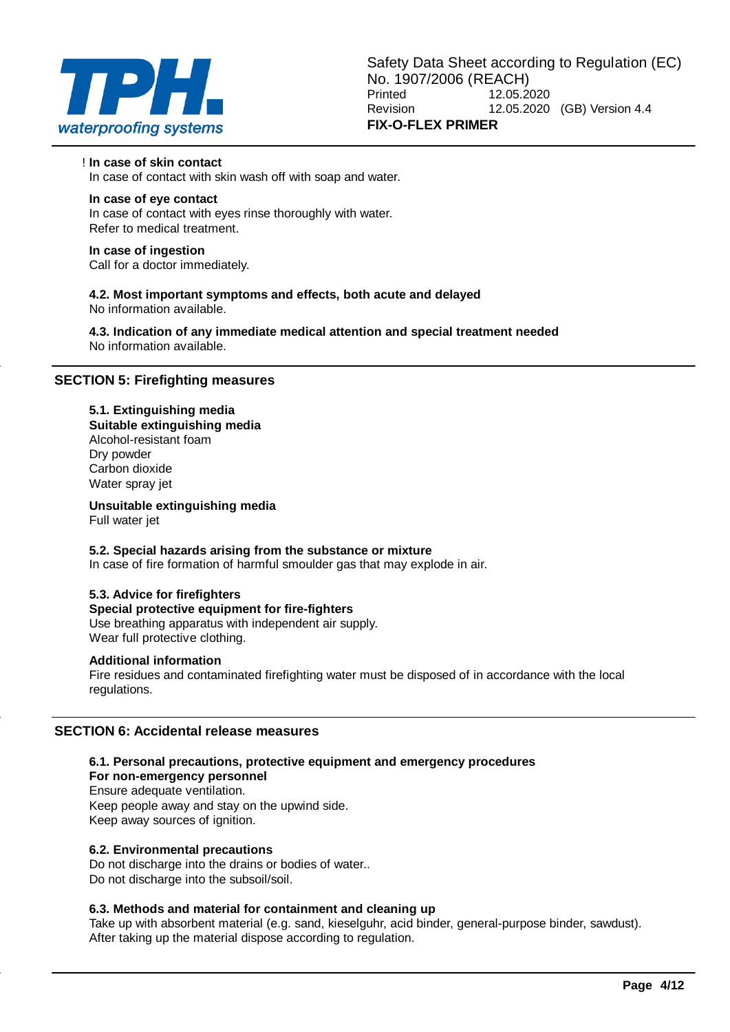

! **In case of skin contact** In case of contact with skin wash off with soap and water.

## **In case of eye contact**

In case of contact with eyes rinse thoroughly with water. Refer to medical treatment.

## **In case of ingestion**

Call for a doctor immediately.

**4.2. Most important symptoms and effects, both acute and delayed** No information available.

**4.3. Indication of any immediate medical attention and special treatment needed** No information available.

## **SECTION 5: Firefighting measures**

## **5.1. Extinguishing media**

**Suitable extinguishing media** Alcohol-resistant foam Dry powder Carbon dioxide Water spray jet

**Unsuitable extinguishing media**

Full water jet

## **5.2. Special hazards arising from the substance or mixture**

In case of fire formation of harmful smoulder gas that may explode in air.

## **5.3. Advice for firefighters**

## **Special protective equipment for fire-fighters**

Use breathing apparatus with independent air supply. Wear full protective clothing.

#### **Additional information**

Fire residues and contaminated firefighting water must be disposed of in accordance with the local regulations.

## **SECTION 6: Accidental release measures**

## **6.1. Personal precautions, protective equipment and emergency procedures**

## **For non-emergency personnel**

Ensure adequate ventilation. Keep people away and stay on the upwind side. Keep away sources of ignition.

## **6.2. Environmental precautions**

Do not discharge into the drains or bodies of water.. Do not discharge into the subsoil/soil.

## **6.3. Methods and material for containment and cleaning up**

Take up with absorbent material (e.g. sand, kieselguhr, acid binder, general-purpose binder, sawdust). After taking up the material dispose according to regulation.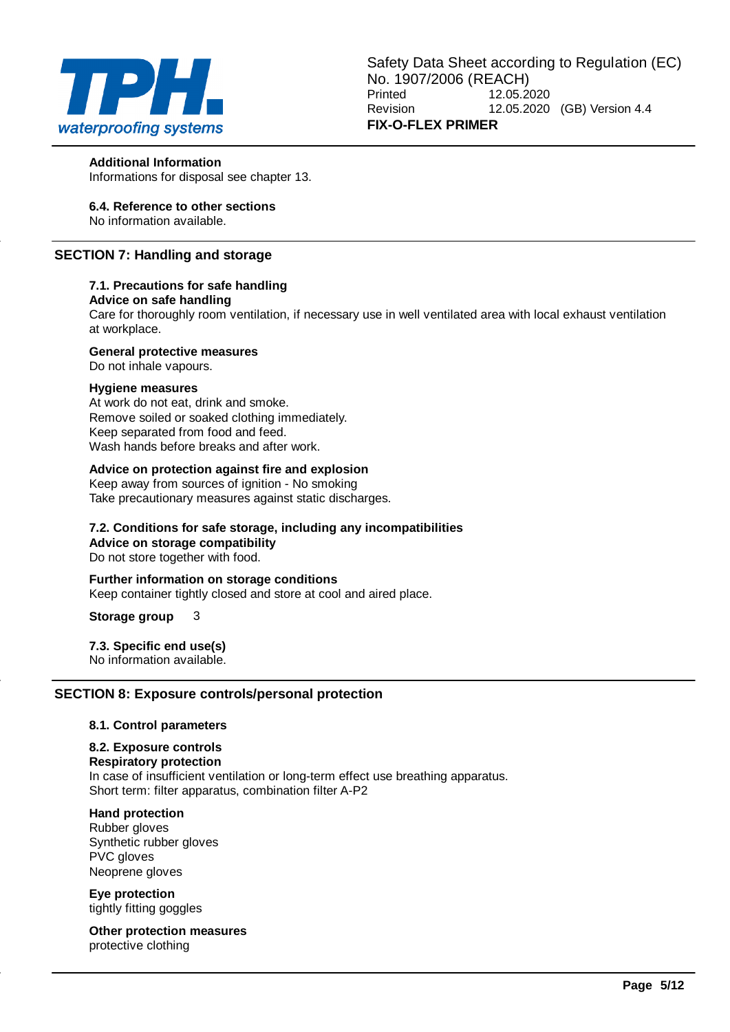

#### **Additional Information**

Informations for disposal see chapter 13.

## **6.4. Reference to other sections**

No information available.

## **SECTION 7: Handling and storage**

#### **7.1. Precautions for safe handling**

#### **Advice on safe handling**

Care for thoroughly room ventilation, if necessary use in well ventilated area with local exhaust ventilation at workplace.

#### **General protective measures**

Do not inhale vapours.

#### **Hygiene measures**

At work do not eat, drink and smoke. Remove soiled or soaked clothing immediately. Keep separated from food and feed. Wash hands before breaks and after work.

### **Advice on protection against fire and explosion**

Keep away from sources of ignition - No smoking Take precautionary measures against static discharges.

## **7.2. Conditions for safe storage, including any incompatibilities Advice on storage compatibility**

Do not store together with food.

#### **Further information on storage conditions** Keep container tightly closed and store at cool and aired place.

**Storage group** 3

## **7.3. Specific end use(s)**

No information available.

## **SECTION 8: Exposure controls/personal protection**

#### **8.1. Control parameters**

#### **8.2. Exposure controls**

#### **Respiratory protection**

In case of insufficient ventilation or long-term effect use breathing apparatus. Short term: filter apparatus, combination filter A-P2

## **Hand protection**

Rubber gloves Synthetic rubber gloves PVC gloves Neoprene gloves

**Eye protection** tightly fitting goggles

**Other protection measures** protective clothing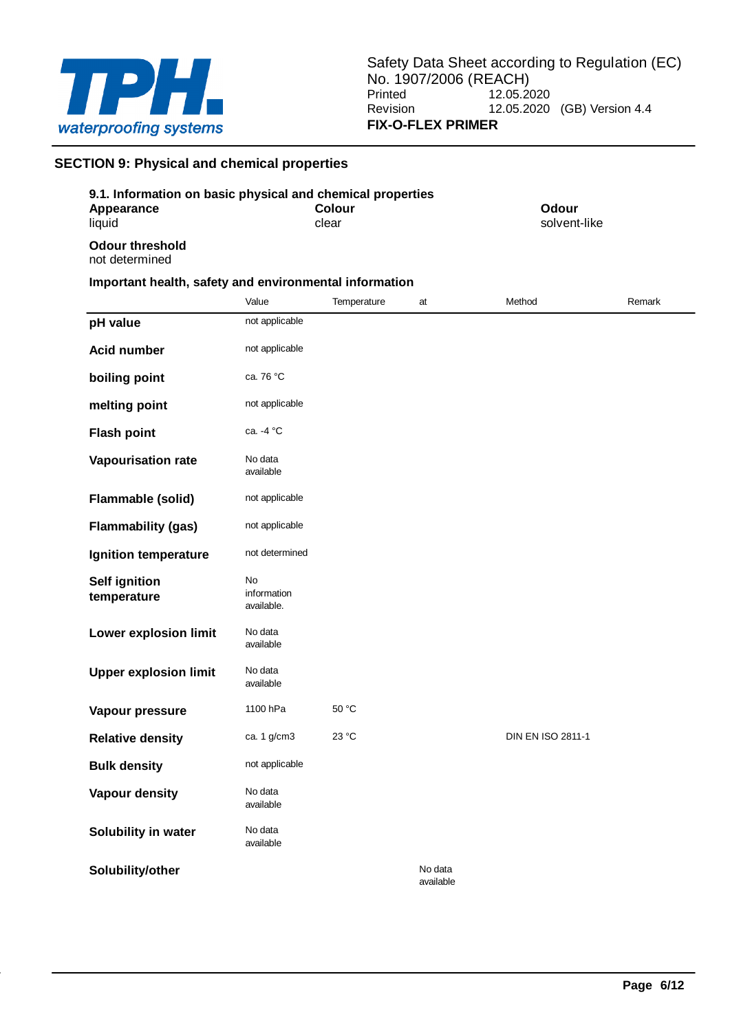

## **SECTION 9: Physical and chemical properties**

| 9.1. Information on basic physical and chemical properties |       |                        |    |                       |        |
|------------------------------------------------------------|-------|------------------------|----|-----------------------|--------|
| Appearance<br>liquid                                       |       | <b>Colour</b><br>clear |    | Odour<br>solvent-like |        |
| Odour threshold<br>not determined                          |       |                        |    |                       |        |
| Important health, safety and environmental information     |       |                        |    |                       |        |
|                                                            | Value | Temperature            | at | Method                | Remark |

| pH value                            | not applicable                  |       |                      |                   |  |
|-------------------------------------|---------------------------------|-------|----------------------|-------------------|--|
|                                     |                                 |       |                      |                   |  |
| <b>Acid number</b>                  | not applicable                  |       |                      |                   |  |
| boiling point                       | ca. 76 °C                       |       |                      |                   |  |
| melting point                       | not applicable                  |       |                      |                   |  |
| <b>Flash point</b>                  | ca. -4 °C                       |       |                      |                   |  |
| Vapourisation rate                  | No data<br>available            |       |                      |                   |  |
| Flammable (solid)                   | not applicable                  |       |                      |                   |  |
| <b>Flammability (gas)</b>           | not applicable                  |       |                      |                   |  |
| Ignition temperature                | not determined                  |       |                      |                   |  |
| <b>Self ignition</b><br>temperature | No<br>information<br>available. |       |                      |                   |  |
| Lower explosion limit               | No data<br>available            |       |                      |                   |  |
| <b>Upper explosion limit</b>        | No data<br>available            |       |                      |                   |  |
| Vapour pressure                     | 1100 hPa                        | 50 °C |                      |                   |  |
| <b>Relative density</b>             | ca. 1 g/cm3                     | 23 °C |                      | DIN EN ISO 2811-1 |  |
| <b>Bulk density</b>                 | not applicable                  |       |                      |                   |  |
| <b>Vapour density</b>               | No data<br>available            |       |                      |                   |  |
| Solubility in water                 | No data<br>available            |       |                      |                   |  |
| Solubility/other                    |                                 |       | No data<br>available |                   |  |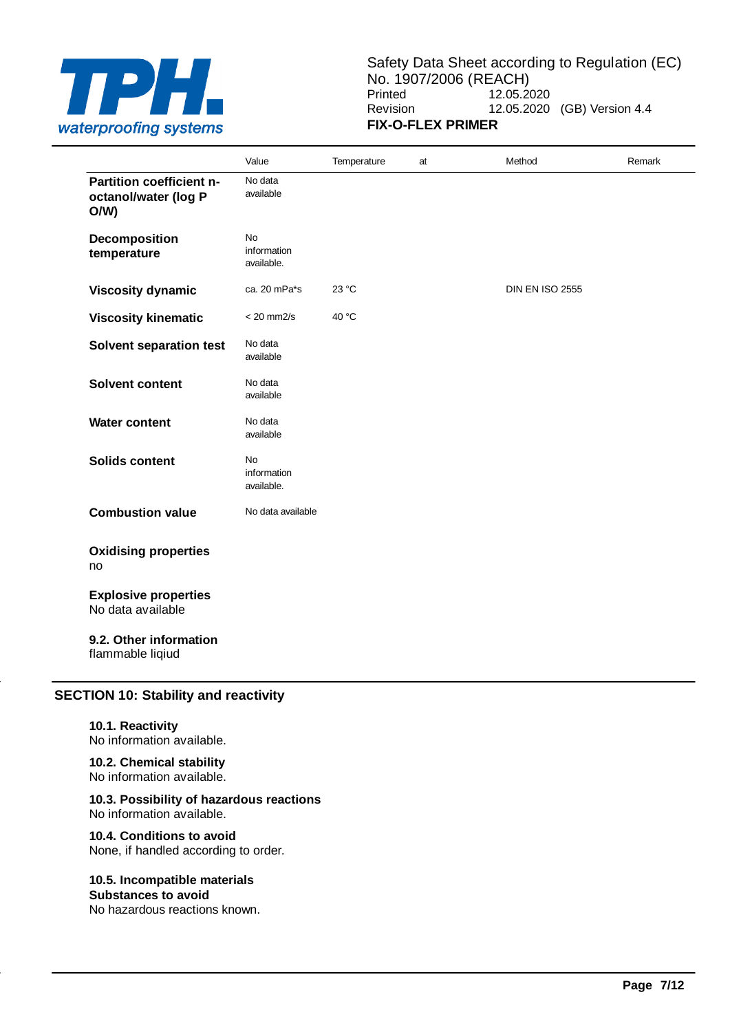

Safety Data Sheet according to Regulation (EC) No. 1907/2006 (REACH)<br>Printed 12.05.2 12.05.2020 Revision 12.05.2020 (GB) Version 4.4 **FIX-O-FLEX PRIMER**

|                                                         | Value                           | Temperature | at | Method                 | Remark |
|---------------------------------------------------------|---------------------------------|-------------|----|------------------------|--------|
| Partition coefficient n-<br>octanol/water (log P<br>O/W | No data<br>available            |             |    |                        |        |
| Decomposition<br>temperature                            | No<br>information<br>available. |             |    |                        |        |
| <b>Viscosity dynamic</b>                                | ca. 20 mPa*s                    | 23 °C       |    | <b>DIN EN ISO 2555</b> |        |
| <b>Viscosity kinematic</b>                              | $< 20$ mm $2/s$                 | 40 °C       |    |                        |        |
| <b>Solvent separation test</b>                          | No data<br>available            |             |    |                        |        |
| <b>Solvent content</b>                                  | No data<br>available            |             |    |                        |        |
| <b>Water content</b>                                    | No data<br>available            |             |    |                        |        |
| <b>Solids content</b>                                   | No<br>information<br>available. |             |    |                        |        |
| <b>Combustion value</b>                                 | No data available               |             |    |                        |        |
| <b>Oxidising properties</b><br>no                       |                                 |             |    |                        |        |
| <b>Explosive properties</b><br>No data available        |                                 |             |    |                        |        |
| 9.2. Other information<br>flammable liqiud              |                                 |             |    |                        |        |

## **SECTION 10: Stability and reactivity**

**10.1. Reactivity** No information available.

#### **10.2. Chemical stability** No information available.

#### **10.3. Possibility of hazardous reactions** No information available.

**10.4. Conditions to avoid** None, if handled according to order.

## **10.5. Incompatible materials**

**Substances to avoid** No hazardous reactions known.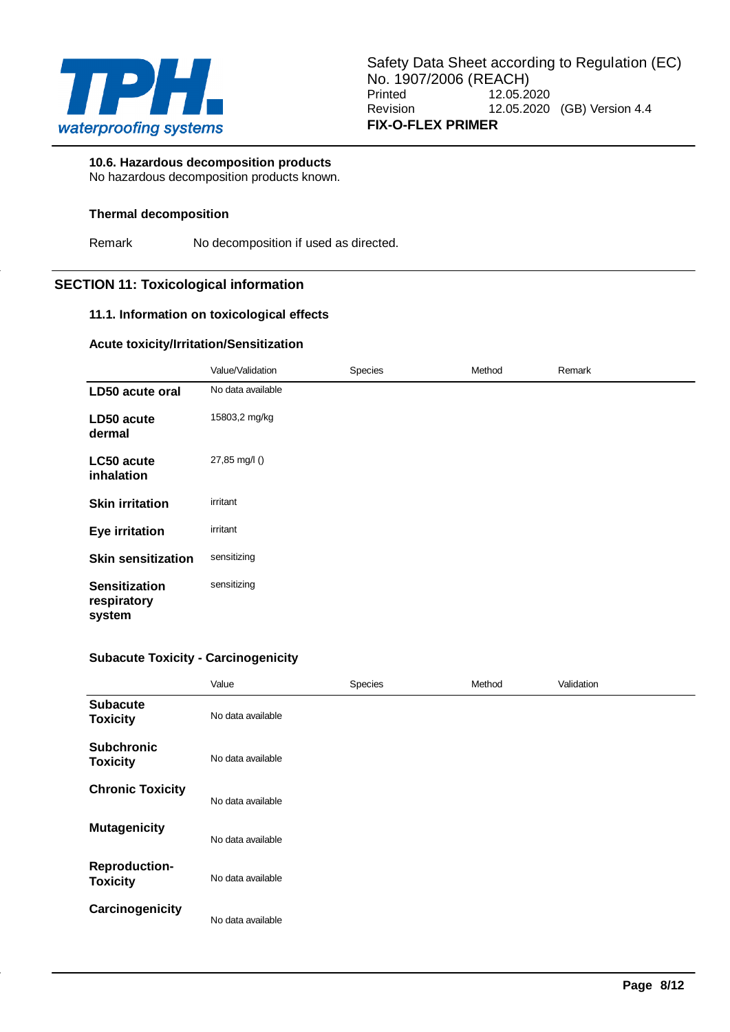

## **10.6. Hazardous decomposition products**

No hazardous decomposition products known.

## **Thermal decomposition**

Remark No decomposition if used as directed.

## **SECTION 11: Toxicological information**

## **11.1. Information on toxicological effects**

#### **Acute toxicity/Irritation/Sensitization**

|                                               | Value/Validation  | Species | Method | Remark |
|-----------------------------------------------|-------------------|---------|--------|--------|
| LD50 acute oral                               | No data available |         |        |        |
| LD50 acute<br>dermal                          | 15803,2 mg/kg     |         |        |        |
| LC50 acute<br>inhalation                      | 27,85 mg/l ()     |         |        |        |
| <b>Skin irritation</b>                        | irritant          |         |        |        |
| <b>Eye irritation</b>                         | irritant          |         |        |        |
| <b>Skin sensitization</b>                     | sensitizing       |         |        |        |
| <b>Sensitization</b><br>respiratory<br>system | sensitizing       |         |        |        |

## **Subacute Toxicity - Carcinogenicity**

|                                         | Value             | Species | Method | Validation |
|-----------------------------------------|-------------------|---------|--------|------------|
| <b>Subacute</b><br><b>Toxicity</b>      | No data available |         |        |            |
| <b>Subchronic</b><br><b>Toxicity</b>    | No data available |         |        |            |
| <b>Chronic Toxicity</b>                 | No data available |         |        |            |
| <b>Mutagenicity</b>                     | No data available |         |        |            |
| <b>Reproduction-</b><br><b>Toxicity</b> | No data available |         |        |            |
| Carcinogenicity                         | No data available |         |        |            |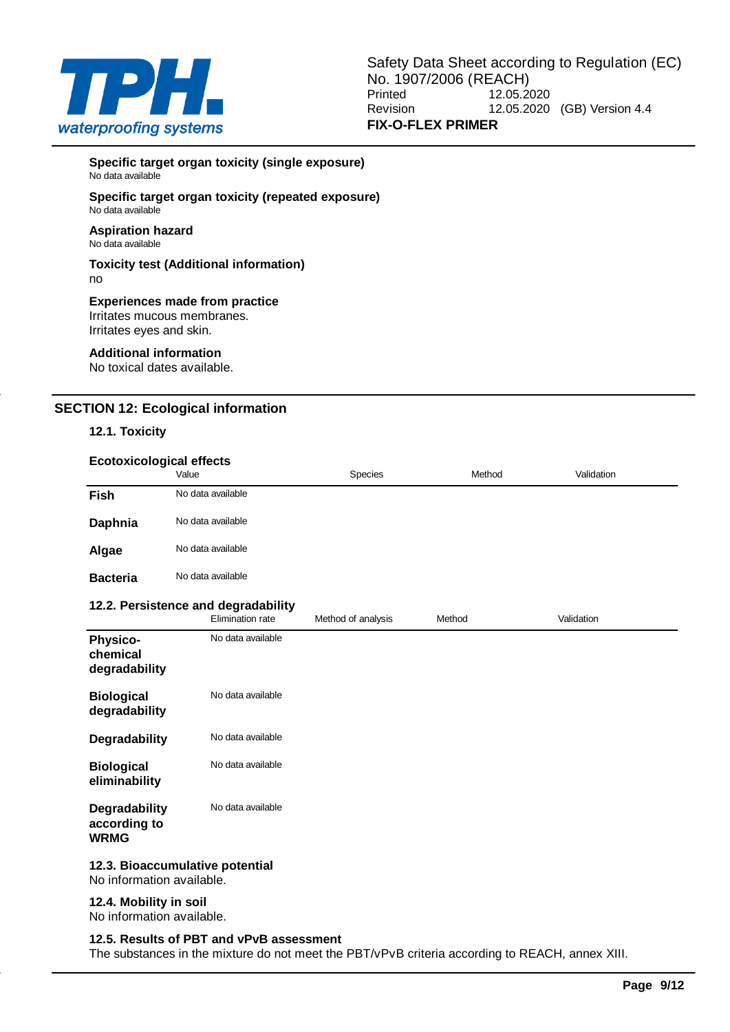

**Specific target organ toxicity (single exposure)** No data available

#### **Specific target organ toxicity (repeated exposure)** No data available

#### **Aspiration hazard** No data available

#### **Toxicity test (Additional information)** no

#### **Experiences made from practice** Irritates mucous membranes.

Irritates eyes and skin.

## **Additional information**

No toxical dates available.

## **SECTION 12: Ecological information**

## **12.1. Toxicity**

| <b>Ecotoxicological effects</b> | Value             | Species | Method | Validation |
|---------------------------------|-------------------|---------|--------|------------|
| <b>Fish</b>                     | No data available |         |        |            |
| Daphnia                         | No data available |         |        |            |
| Algae                           | No data available |         |        |            |
| <b>Bacteria</b>                 | No data available |         |        |            |

#### **12.2. Persistence and degradability**

|                                                             | Elimination rate  | Method of analysis | Method | Validation |
|-------------------------------------------------------------|-------------------|--------------------|--------|------------|
| <b>Physico-</b><br>chemical<br>degradability                | No data available |                    |        |            |
| <b>Biological</b><br>degradability                          | No data available |                    |        |            |
| Degradability                                               | No data available |                    |        |            |
| <b>Biological</b><br>eliminability                          | No data available |                    |        |            |
| Degradability<br>according to<br><b>WRMG</b>                | No data available |                    |        |            |
| 12.3. Bioaccumulative potential<br>No information available |                   |                    |        |            |

## No information available.

## **12.4. Mobility in soil**

No information available.

#### **12.5. Results of PBT and vPvB assessment**

The substances in the mixture do not meet the PBT/vPvB criteria according to REACH, annex XIII.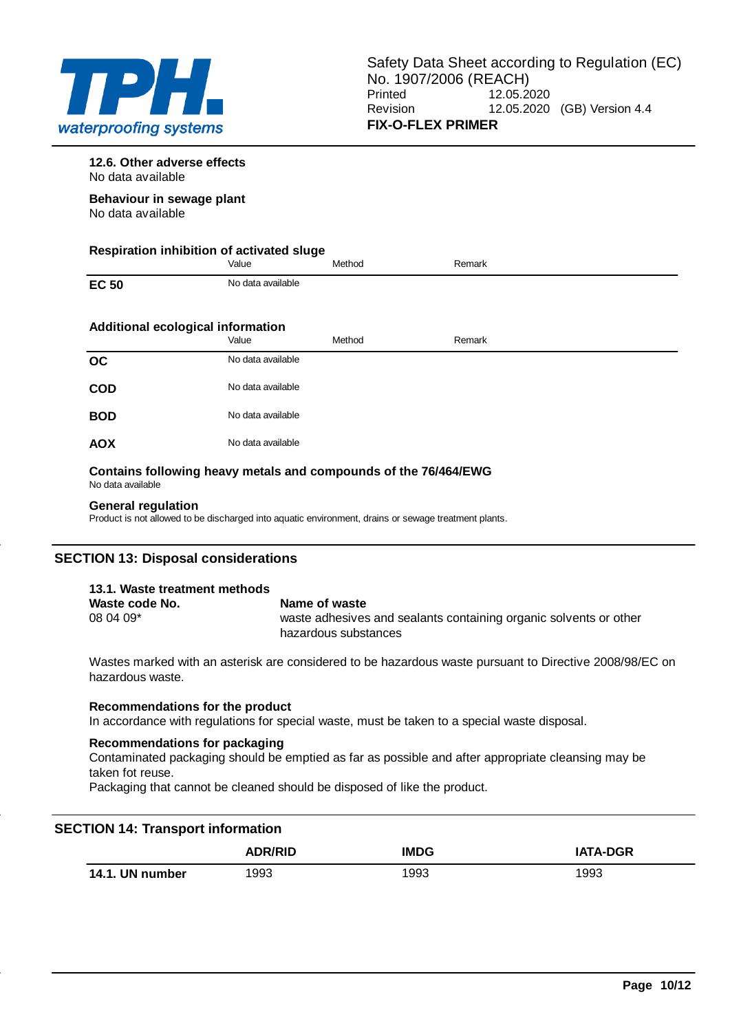

**12.6. Other adverse effects** No data available

**Behaviour in sewage plant** No data available

| Respiration inhibition of activated sluge |                   |        |        |  |
|-------------------------------------------|-------------------|--------|--------|--|
|                                           | Value             | Method | Remark |  |
| <b>EC 50</b>                              | No data available |        |        |  |
| Additional ecological information         |                   |        |        |  |
|                                           | Value             | Method | Remark |  |
| OC                                        | No data available |        |        |  |
| <b>COD</b>                                | No data available |        |        |  |
| <b>BOD</b>                                | No data available |        |        |  |
| <b>AOX</b>                                | No data available |        |        |  |

#### **Contains following heavy metals and compounds of the 76/464/EWG** No data available

## **General regulation**

Product is not allowed to be discharged into aquatic environment, drains or sewage treatment plants.

## **SECTION 13: Disposal considerations**

| 13.1. Waste treatment methods |                                                                                           |
|-------------------------------|-------------------------------------------------------------------------------------------|
| Waste code No.                | Name of waste                                                                             |
| $080409*$                     | waste adhesives and sealants containing organic solvents or other<br>hazardous substances |

Wastes marked with an asterisk are considered to be hazardous waste pursuant to Directive 2008/98/EC on hazardous waste.

## **Recommendations for the product**

In accordance with regulations for special waste, must be taken to a special waste disposal.

## **Recommendations for packaging**

Contaminated packaging should be emptied as far as possible and after appropriate cleansing may be taken fot reuse.

Packaging that cannot be cleaned should be disposed of like the product.

## **SECTION 14: Transport information**

|                 | <b>ADR/RID</b> | <b>IMDG</b> | <b>IATA-DGR</b> |
|-----------------|----------------|-------------|-----------------|
| 14.1. UN number | 1993           | 1993        | 1993            |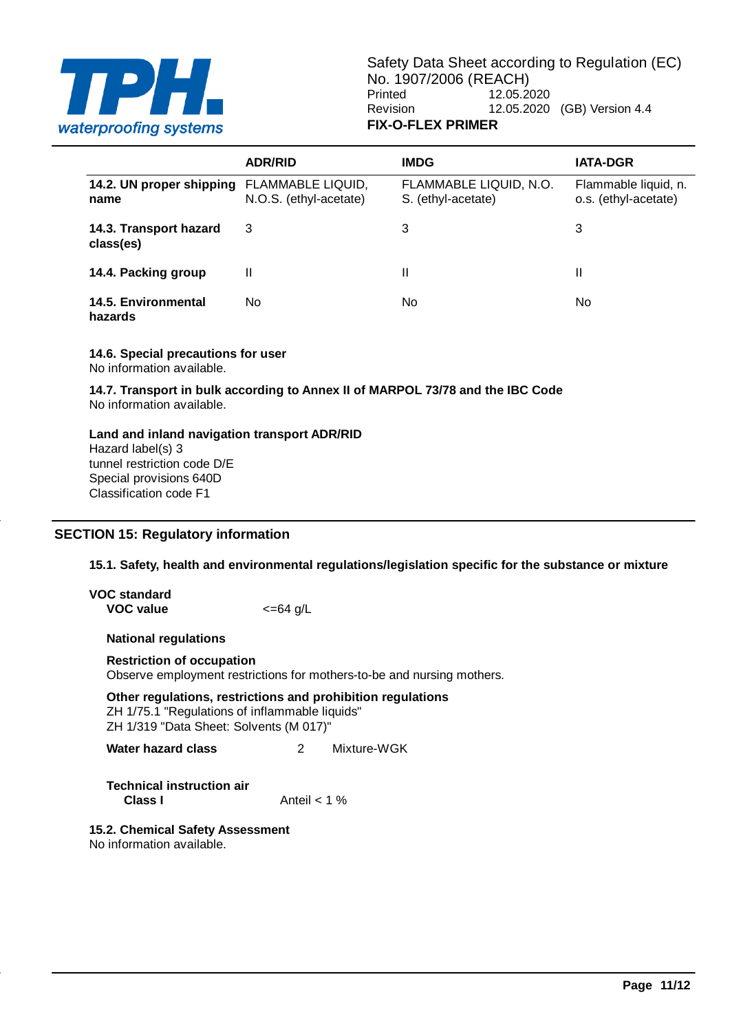

|                                     | <b>ADR/RID</b>                              | <b>IMDG</b>                                  | <b>IATA-DGR</b>                              |
|-------------------------------------|---------------------------------------------|----------------------------------------------|----------------------------------------------|
| 14.2. UN proper shipping<br>name    | FLAMMABLE LIQUID,<br>N.O.S. (ethyl-acetate) | FLAMMABLE LIQUID, N.O.<br>S. (ethyl-acetate) | Flammable liquid, n.<br>o.s. (ethyl-acetate) |
| 14.3. Transport hazard<br>class(es) | 3                                           | 3                                            | 3                                            |
| 14.4. Packing group                 | Ш                                           | Ш                                            | Ш                                            |
| 14.5. Environmental<br>hazards      | No                                          | No.                                          | No                                           |

**14.6. Special precautions for user** No information available.

**14.7. Transport in bulk according to Annex II of MARPOL 73/78 and the IBC Code** No information available.

**Land and inland navigation transport ADR/RID** Hazard label(s) 3 tunnel restriction code D/E Special provisions 640D Classification code F1

## **SECTION 15: Regulatory information**

**15.1. Safety, health and environmental regulations/legislation specific for the substance or mixture**

| VOC standard |                     |
|--------------|---------------------|
| VOC value    | $\epsilon = 64$ g/L |

**National regulations**

**Restriction of occupation**

Observe employment restrictions for mothers-to-be and nursing mothers.

**Other regulations, restrictions and prohibition regulations** ZH 1/75.1 "Regulations of inflammable liquids" ZH 1/319 "Data Sheet: Solvents (M 017)"

**Water hazard class** 2 Mixture-WGK

**Technical instruction air Class I** Anteil < 1 %

**15.2. Chemical Safety Assessment** No information available.